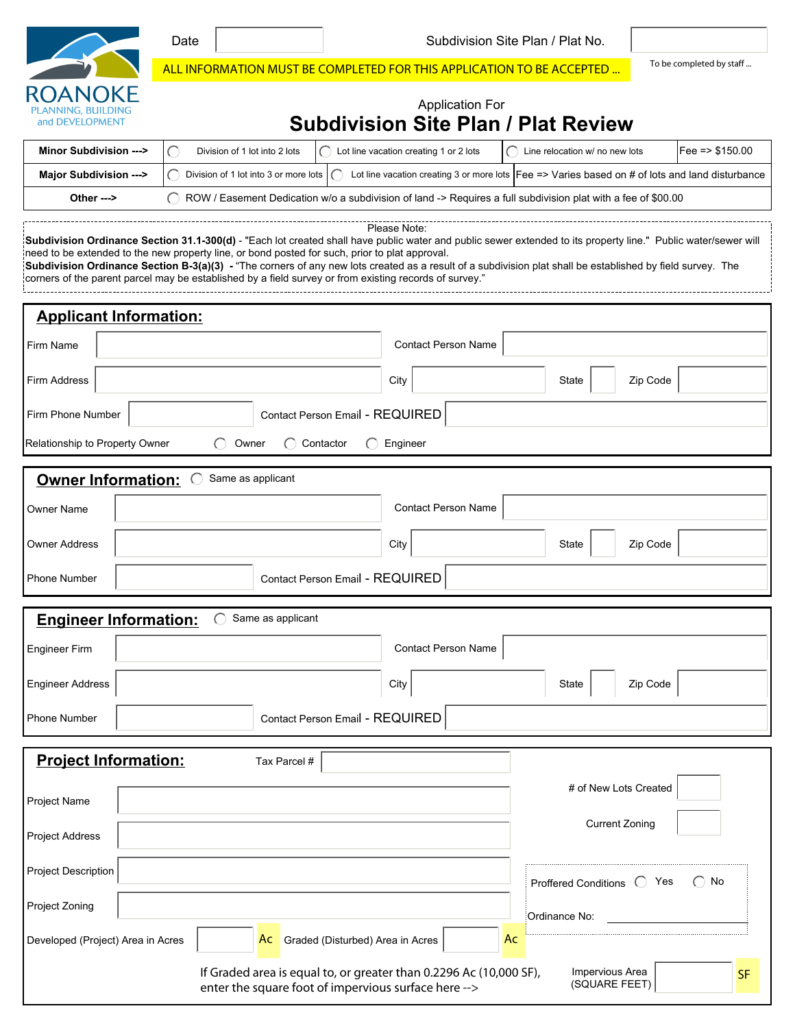|                                                                                                                                                                                                                                                                                                                                                                                                                                                                                                                                                          | Subdivision Site Plan / Plat No.<br>Date           |                                                                                                         |  |  |  |
|----------------------------------------------------------------------------------------------------------------------------------------------------------------------------------------------------------------------------------------------------------------------------------------------------------------------------------------------------------------------------------------------------------------------------------------------------------------------------------------------------------------------------------------------------------|----------------------------------------------------|---------------------------------------------------------------------------------------------------------|--|--|--|
|                                                                                                                                                                                                                                                                                                                                                                                                                                                                                                                                                          |                                                    | To be completed by staff<br>ALL INFORMATION MUST BE COMPLETED FOR THIS APPLICATION TO BE ACCEPTED       |  |  |  |
| <b>PLANNING, BUILDING</b><br>and DEVELOPMENT                                                                                                                                                                                                                                                                                                                                                                                                                                                                                                             |                                                    | <b>Application For</b><br><b>Subdivision Site Plan / Plat Review</b>                                    |  |  |  |
| <b>Minor Subdivision ---&gt;</b>                                                                                                                                                                                                                                                                                                                                                                                                                                                                                                                         | Division of 1 lot into 2 lots                      | Fee = $$150.00$<br>Lot line vacation creating 1 or 2 lots<br>$\bigcap$ Line relocation w/ no new lots   |  |  |  |
| Major Subdivision --->                                                                                                                                                                                                                                                                                                                                                                                                                                                                                                                                   | $\bigcap$<br>Division of 1 lot into 3 or more lots | Lot line vacation creating 3 or more lots $\vert$ Fee => Varies based on # of lots and land disturbance |  |  |  |
| ROW / Easement Dedication w/o a subdivision of land -> Requires a full subdivision plat with a fee of \$00.00<br>Other $\leftarrow$                                                                                                                                                                                                                                                                                                                                                                                                                      |                                                    |                                                                                                         |  |  |  |
| Please Note:<br>Subdivision Ordinance Section 31.1-300(d) - "Each lot created shall have public water and public sewer extended to its property line." Public water/sewer will<br>need to be extended to the new property line, or bond posted for such, prior to plat approval.<br>Subdivision Ordinance Section B-3(a)(3) - "The corners of any new lots created as a result of a subdivision plat shall be established by field survey. The<br>corners of the parent parcel may be established by a field survey or from existing records of survey." |                                                    |                                                                                                         |  |  |  |
| <b>Applicant Information:</b>                                                                                                                                                                                                                                                                                                                                                                                                                                                                                                                            |                                                    |                                                                                                         |  |  |  |
| Firm Name                                                                                                                                                                                                                                                                                                                                                                                                                                                                                                                                                |                                                    | <b>Contact Person Name</b>                                                                              |  |  |  |
| Firm Address                                                                                                                                                                                                                                                                                                                                                                                                                                                                                                                                             |                                                    | City<br>Zip Code<br>State                                                                               |  |  |  |
| Firm Phone Number                                                                                                                                                                                                                                                                                                                                                                                                                                                                                                                                        | Contact Person Email - REQUIRED                    |                                                                                                         |  |  |  |
| Relationship to Property Owner<br>Contactor<br>Engineer<br>Owner                                                                                                                                                                                                                                                                                                                                                                                                                                                                                         |                                                    |                                                                                                         |  |  |  |
| <b>Owner Information:</b>                                                                                                                                                                                                                                                                                                                                                                                                                                                                                                                                | Same as applicant                                  |                                                                                                         |  |  |  |
|                                                                                                                                                                                                                                                                                                                                                                                                                                                                                                                                                          |                                                    | <b>Contact Person Name</b>                                                                              |  |  |  |
| Owner Name                                                                                                                                                                                                                                                                                                                                                                                                                                                                                                                                               |                                                    |                                                                                                         |  |  |  |
| <b>Owner Address</b>                                                                                                                                                                                                                                                                                                                                                                                                                                                                                                                                     |                                                    | City<br>Zip Code<br>State                                                                               |  |  |  |
| Phone Number                                                                                                                                                                                                                                                                                                                                                                                                                                                                                                                                             | Contact Person Email - REQUIRED                    |                                                                                                         |  |  |  |
| <b>Engineer Information:</b>                                                                                                                                                                                                                                                                                                                                                                                                                                                                                                                             | Same as applicant                                  |                                                                                                         |  |  |  |
| Engineer Firm                                                                                                                                                                                                                                                                                                                                                                                                                                                                                                                                            |                                                    | <b>Contact Person Name</b>                                                                              |  |  |  |
| <b>Engineer Address</b>                                                                                                                                                                                                                                                                                                                                                                                                                                                                                                                                  |                                                    | City<br>Zip Code<br>State                                                                               |  |  |  |
| <b>Phone Number</b>                                                                                                                                                                                                                                                                                                                                                                                                                                                                                                                                      | Contact Person Email - REQUIRED                    |                                                                                                         |  |  |  |
|                                                                                                                                                                                                                                                                                                                                                                                                                                                                                                                                                          |                                                    |                                                                                                         |  |  |  |
| <b>Project Information:</b>                                                                                                                                                                                                                                                                                                                                                                                                                                                                                                                              | Tax Parcel #                                       |                                                                                                         |  |  |  |
| Project Name                                                                                                                                                                                                                                                                                                                                                                                                                                                                                                                                             |                                                    | # of New Lots Created                                                                                   |  |  |  |
| <b>Project Address</b>                                                                                                                                                                                                                                                                                                                                                                                                                                                                                                                                   |                                                    | <b>Current Zoning</b>                                                                                   |  |  |  |
| <b>Project Description</b>                                                                                                                                                                                                                                                                                                                                                                                                                                                                                                                               |                                                    | $\bigcirc$ No<br>Proffered Conditions <sup>()</sup><br>Yes                                              |  |  |  |
| Project Zoning                                                                                                                                                                                                                                                                                                                                                                                                                                                                                                                                           |                                                    | Ordinance No:                                                                                           |  |  |  |
| Developed (Project) Area in Acres                                                                                                                                                                                                                                                                                                                                                                                                                                                                                                                        | Graded (Disturbed) Area in Acres<br>Ac             | Ac                                                                                                      |  |  |  |
| Impervious Area<br>If Graded area is equal to, or greater than 0.2296 Ac (10,000 SF),<br><b>SF</b><br>(SQUARE FEET)<br>enter the square foot of impervious surface here -->                                                                                                                                                                                                                                                                                                                                                                              |                                                    |                                                                                                         |  |  |  |